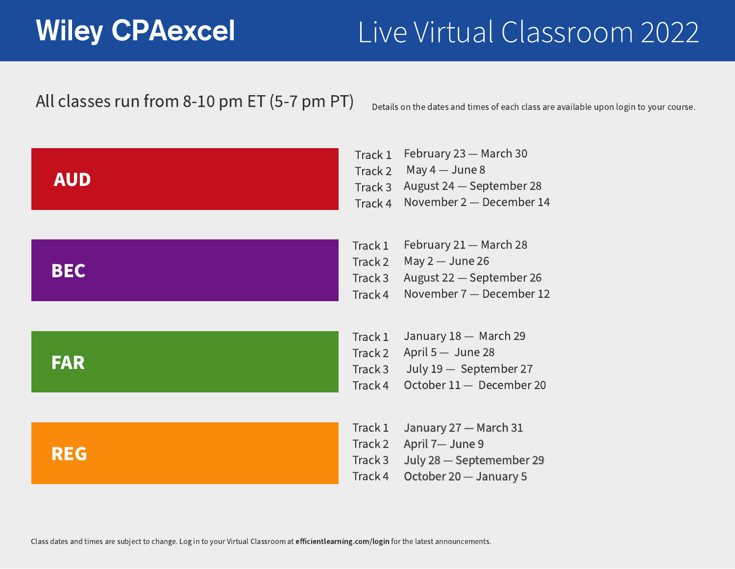Track 2 April 5 — June 28 January 18 — March 29 July 19 — September 27 October 11 — December 20

Track 4 November 7 — December 12 February 21 – March 28 May 2 — June 26 August 22 — September 26

Track 2 April 7— June 9 Track 3 July 28 — Septemember 29 Track 4 October 20 — January 5 January 27 — March 31





Track 2 May 4 — June 8 Track 3 August 24 — September 28 Track 4 November 2 — December 14 February 23 — March 30

Class dates and times are subject to change. Log in to your Virtual Classroom at efficientlearning.com/login for the latest announcements.

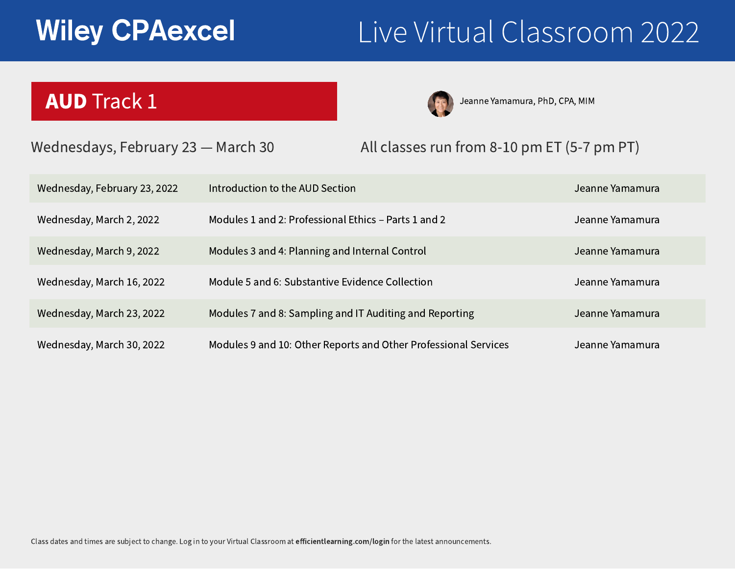Jeanne Yamamura, PhD, CPA, MIM

|                          | Jeann |
|--------------------------|-------|
| ts 1 and 2               | Jeann |
| ontrol                   | Jeann |
| lection                  | Jeann |
| g and Reporting          | Jeann |
| er Professional Services | Jeann |

- ne Yamamura
- ne Yamamura
- ne Yamamura
- ne Yamamura
- ne Yamamura
- ne Yamamura

Introduction to the AUD Section

Modules 1 and 2: Professional Ethics - Part

Modules 3 and 4: Planning and Internal Co

Module 5 and 6: Substantive Evidence Col

Modules 7 and 8: Sampling and IT Auditing

Modules 9 and 10: Other Reports and Othe



## AUD Track 1



# Wiley CPAexcel Live Virtual Classroom 2022

### Wednesdays, February 23 – March 30 All classes run from 8-10 pm ET (5-7 pm PT)

Wednesday, February 23, 2022

Wednesday, March 2, 2022

Wednesday, March 9, 2022

Wednesday, March 16, 2022

Wednesday, March 23, 2022

Wednesday, March 30, 2022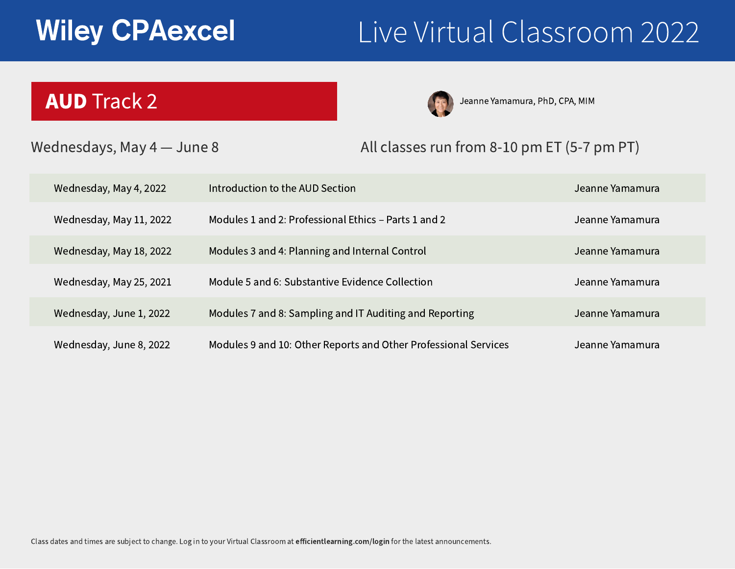Jeanne Yamamura, PhD, CPA, MIM

|                          | Jeann |
|--------------------------|-------|
| ts 1 and 2               | Jeann |
| ontrol                   | Jeann |
| lection                  | Jeann |
| g and Reporting          | Jeann |
| er Professional Services | Jeann |

### Introduction to the AUD Section

Modules 1 and 2: Professional Ethics - Part

Modules 3 and 4: Planning and Internal Co

Module 5 and 6: Substantive Evidence Col

Modules 7 and 8: Sampling and IT Auditing

- ne Yamamura
- ne Yamamura
- ne Yamamura
- ne Yamamura
- ne Yamamura
- Jeanne Yamamura

Modules 9 and 10: Other Reports and Other Professional Services

# Wiley CPAexcel Live Virtual Classroom 2022



Wednesday, May 4, 2022

Wednesday, May 11, 2022

Wednesday, May 18, 2022

Wednesday, May 25, 2021

Wednesday, June 1, 2022

Wednesday, June 8, 2022

## AUD Track 2







### Wednesdays, May 4 - June 8 All classes run from 8-10 pm ET (5-7 pm PT)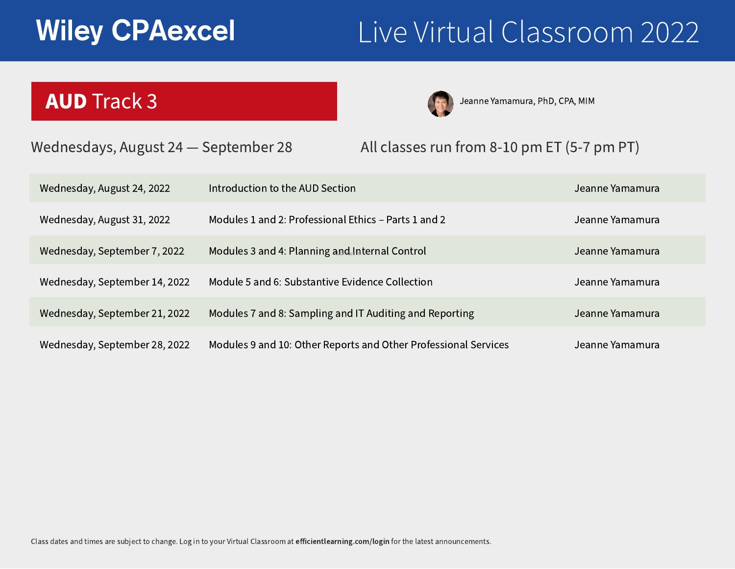## AUD Track 3

Jeanne Yamamura, PhD, CPA, MIM

|                          | Jeann |
|--------------------------|-------|
| ts 1 and 2               | Jeann |
| ontrol                   | Jeann |
| lection                  | Jeann |
| g and Reporting          | Jeann |
| er Professional Services | Jeann |

Introduction to the AUD Section

Modules 1 and 2: Professional Ethics - Part

Modules 3 and 4: Planning and Internal Control

Module 5 and 6: Substantive Evidence Coll

Modules 7 and 8: Sampling and IT Auditing

- ne Yamamura
- ne Yamamura
- ne Yamamura
- ne Yamamura
- ne Yamamura
- Jeanne Yamamura

Modules 9 and 10: Other Reports and Other Professional Services



Wednesday, August 24, 2022

Wednesday, August 31, 2022

Wednesday, September 7, 2022

Wednesday, September 14, 2022

Wednesday, September 21, 2022

Wednesday, September 28, 2022



# Wiley CPAexcel Live Virtual Classroom 2022

### Wednesdays, August 24 – September 28 All classes run from 8-10 pm ET (5-7 pm PT)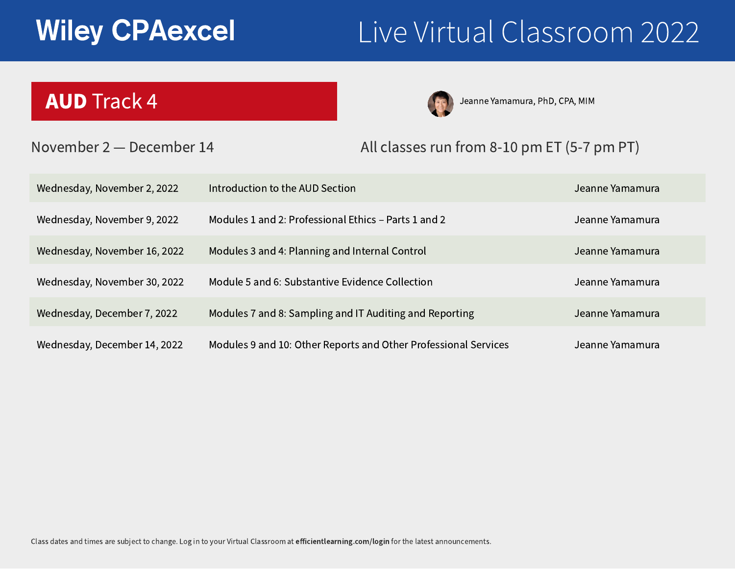Jeanne Yamamura, PhD, CPA, MIM

|                          | Jeann |
|--------------------------|-------|
| ts 1 and 2               | Jeann |
| ontrol                   | Jeann |
| lection                  | Jeann |
| g and Reporting          | Jeann |
| er Professional Services | Jeann |

### Introduction to the AUD Section

Modules 1 and 2: Professional Ethics - Part

Modules 3 and 4: Planning and Internal Co

Module 5 and 6: Substantive Evidence Coll

Modules 7 and 8: Sampling and IT Auditing

- ne Yamamura
- ne Yamamura
- ne Yamamura
- ne Yamamura
- ne Yamamura
- Jeanne Yamamura

Modules 9 and 10: Other Reports and Other Professional Services

# Wiley CPAexcel Live Virtual Classroom 2022



### November 2 — December 14 All classes run from 8-10 pm ET (5-7 pm PT)

Wednesday, November 2, 2022

Wednesday, November 9, 2022

Wednesday, November 16, 2022

Wednesday, November 30, 2022

Wednesday, December 7, 2022

Wednesday, December 14, 2022

## AUD Track 4



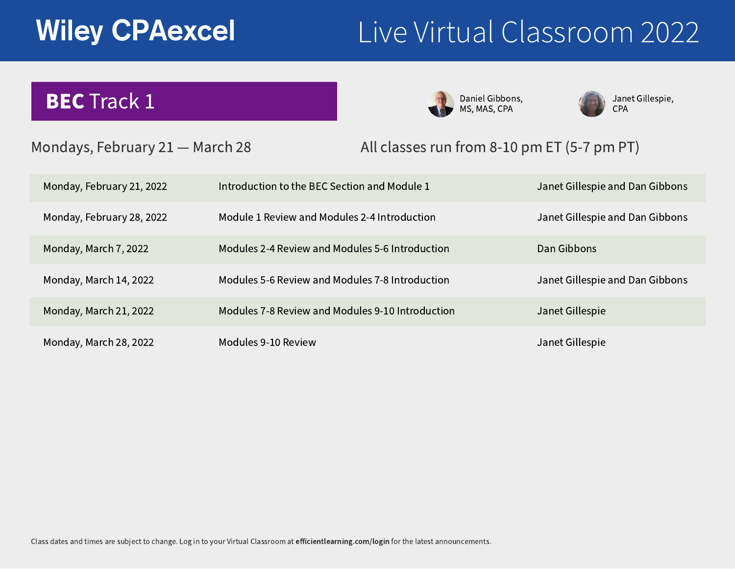## BEC Track 1

Janet Gillespie, CPA

ie and Dan Gibbons

### ie and Dan Gibbons

### ie and Dan Gibbons

Daniel Gibbons, MS, MAS, CPA



Modules 9-10 Review



| dule 1      | <b>Janet Gillespie</b> |
|-------------|------------------------|
| duction     | <b>Janet Gillespie</b> |
| troduction  | Dan Gibbons            |
| troduction  | Janet Gillespie        |
| ntroduction | <b>Janet Gillespie</b> |
|             |                        |



Janet Gillespie

Monday, February 21, 2022

Monday, February 28, 2022

Monday, March 7, 2022

Monday, March 14, 2022

Monday, March 21, 2022

Monday, March 28, 2022



# Wiley CPAexcel Live Virtual Classroom 2022

### Mondays, February 21 – March 28 All classes run from 8-10 pm ET (5-7 pm PT)

Introduction to the BEC Section and Module

Module 1 Review and Modules 2-4 Introd

Modules 2-4 Review and Modules 5-6 Int

Modules 5-6 Review and Modules 7-8 Int

Modules 7-8 Review and Modules 9-10 In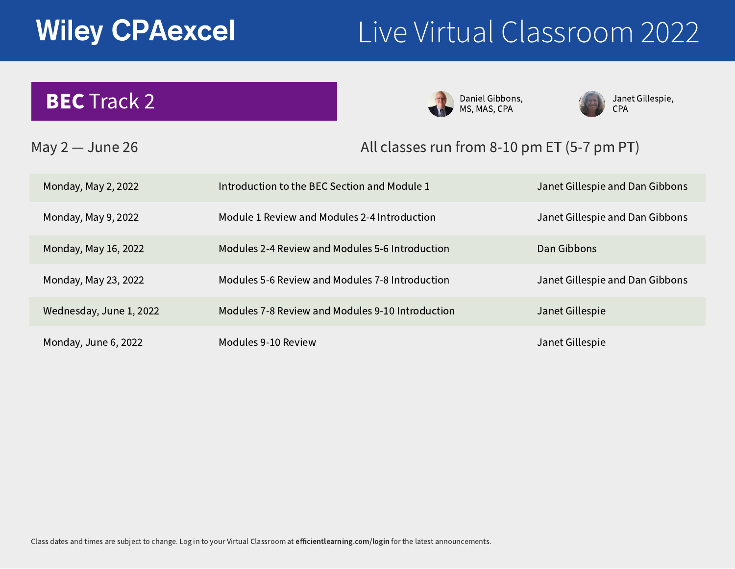## **BEC Track 2** MS, MAS, CPA

Modules 9-10 Review





| dule 1      | <b>Janet Gillespie</b> |
|-------------|------------------------|
| duction     | <b>Janet Gillespie</b> |
| troduction  | Dan Gibbons            |
| troduction  | Janet Gillespie        |
| ntroduction | <b>Janet Gillespie</b> |
|             |                        |



Janet Gillespie

Monday, May 2, 2022

Monday, May 9, 2022

Monday, May 16, 2022

Monday, May 23, 2022

Wednesday, June 1, 2022

Monday, June 6, 2022

Janet Gillespie, CPA

ie and Dan Gibbons

### ie and Dan Gibbons

### ie and Dan Gibbons



# Wiley CPAexcel Live Virtual Classroom 2022

### May 2 – June 26 **All classes run from 8-10 pm ET (5-7 pm PT)**

Introduction to the BEC Section and Module

Module 1 Review and Modules 2-4 Introd

Modules 2-4 Review and Modules 5-6 Int

Modules 5-6 Review and Modules 7-8 Int

Modules 7-8 Review and Modules 9-10 In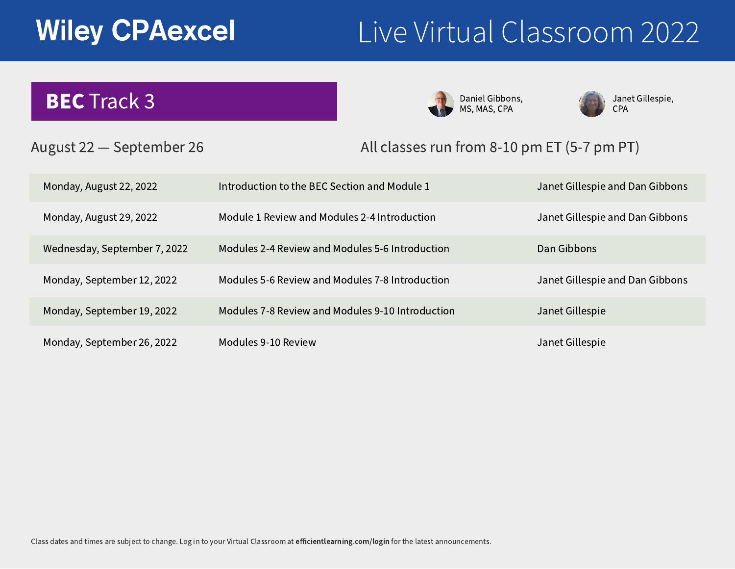Introduction to the BEC Section and Module Module 1 Review and Modules 2-4 Introd Modules 2-4 Review and Modules 5-6 Int Modules 5-6 Review and Modules 7-8 Int Modules 7-8 Review and Modules 9-10 In Modules 9-10 Review





| dule 1      | <b>Janet Gillespie</b> |
|-------------|------------------------|
| duction     | <b>Janet Gillespie</b> |
| troduction  | Dan Gibbons            |
| troduction  | Janet Gillespie        |
| ntroduction | <b>Janet Gillespie</b> |
|             |                        |

Janet Gillespie



### August 22 — September 26 All classes run from 8-10 pm ET (5-7 pm PT)

Monday, August 22, 2022

Monday, August 29, 2022

Wednesday, September 7, 2022

Monday, September 12, 2022

Monday, September 19, 2022

Monday, September 26, 2022

Janet Gillespie, CPA

ie and Dan Gibbons

### ie and Dan Gibbons

### ie and Dan Gibbons



# Wiley CPAexcel Live Virtual Classroom 2022

# **BEC Track 3** MS, MAS, CPA MS, MAS, CPA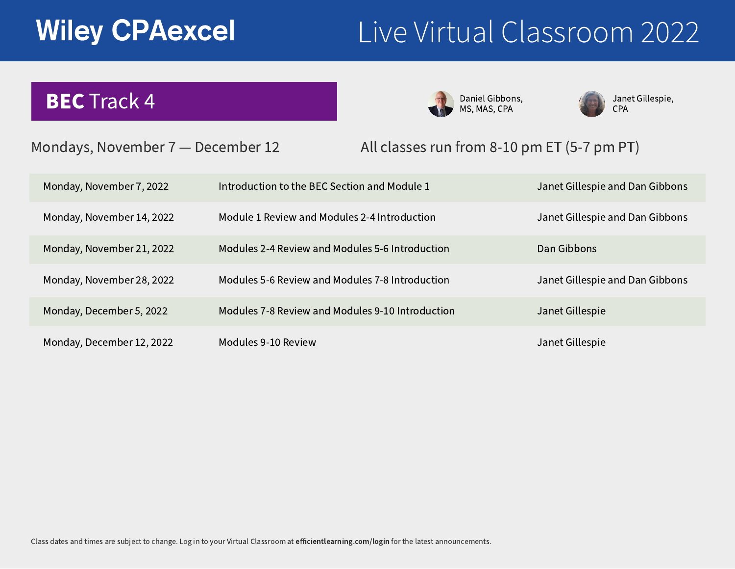Modules 9-10 Review





| dule 1      | <b>Janet Gillespie</b> |
|-------------|------------------------|
| duction     | <b>Janet Gillespie</b> |
| troduction  | Dan Gibbons            |
| troduction  | Janet Gillespie        |
| ntroduction | <b>Janet Gillespie</b> |
|             |                        |



Janet Gillespie

Monday, November 7, 2022

Monday, November 14, 2022

Monday, November 21, 2022

Monday, November 28, 2022

Monday, December 5, 2022

Monday, December 12, 2022

Janet Gillespie, CPA

ie and Dan Gibbons

### ie and Dan Gibbons

### ie and Dan Gibbons



### Mondays, November 7 - December 12 All classes run from 8-10 pm ET (5-7 pm PT)

Introduction to the BEC Section and Module

Module 1 Review and Modules 2-4 Introd

Modules 2-4 Review and Modules 5-6 Int

Modules 5-6 Review and Modules 7-8 Int

Modules 7-8 Review and Modules 9-10 In

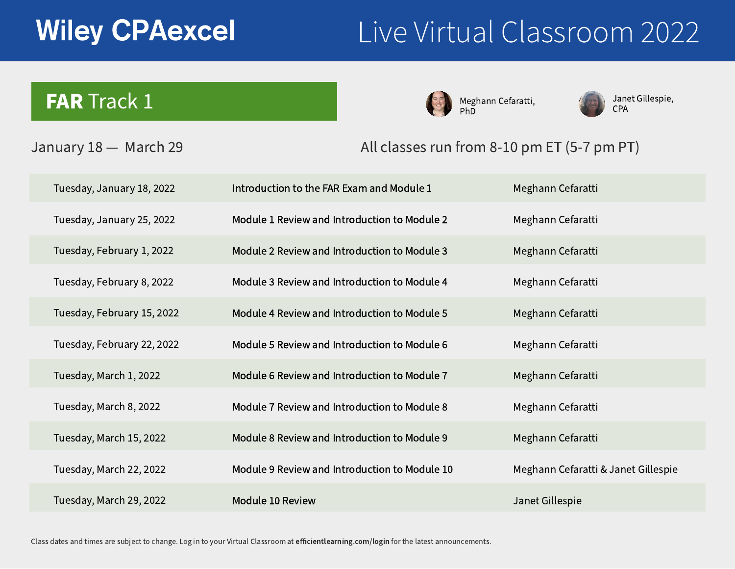Module 10 Review

# Wiley CPAexcel Live Virtual Classroom 2022



| odule 1    | Meghann Cefaratti                   |
|------------|-------------------------------------|
| D Module 2 | Meghann Cefaratti                   |
| Module 3   | Meghann Cefaratti                   |
| Module 4   | Meghann Cefaratti                   |
| Module 5   | Meghann Cefaratti                   |
| Module 6   | Meghann Cefaratti                   |
| Module 7   | Meghann Cefaratti                   |
| Module 8   | Meghann Cefaratti                   |
| Module 9   | Meghann Cefaratti                   |
| Module 10  | Meghann Cefaratti & Janet Gillespie |
|            | Janet Gillespie                     |



### January 18 — March 29 All classes run from 8-10 pm ET (5-7 pm PT)

Introduction to the FAR Exam and Mo Module 1 Review and Introduction to Module 2 Review and Introduction to Module 3 Review and Introduction to Module 4 Review and Introduction to Module 5 Review and Introduction to Module 6 Review and Introduction to Module 7 Review and Introduction to Module 8 Review and Introduction to Module 9 Review and Introduction to

Meghann Cefaratti, PhD



Janet Gillespie, CPA

Tuesday, January 18, 2022

Tuesday, January 25, 2022

Tuesday, February 1, 2022

Tuesday, February 8, 2022

Tuesday, February 15, 2022

Tuesday, February 22, 2022

Tuesday, March 1, 2022

Tuesday, March 8, 2022

Tuesday, March 15, 2022

Tuesday, March 22, 2022

Tuesday, March 29, 2022



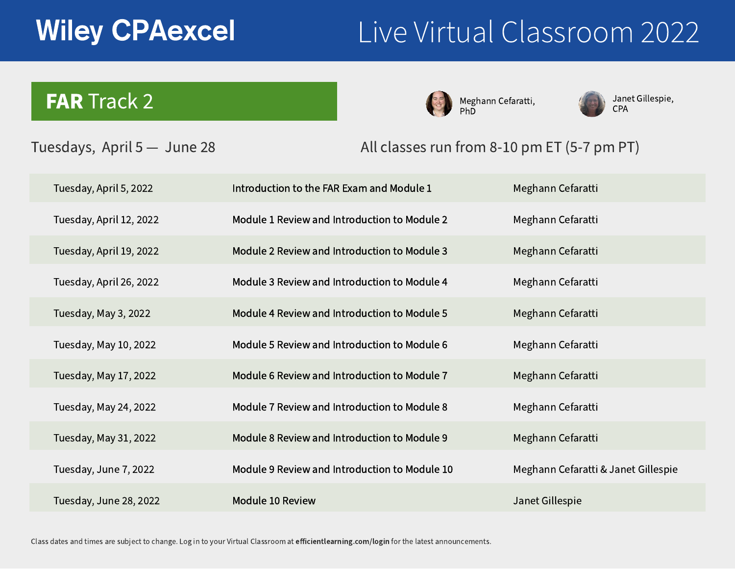Introduction to the FAR Exam and Mo Module 1 Review and Introduction to Module 2 Review and Introduction to Module 3 Review and Introduction to Module 4 Review and Introduction to Module 5 Review and Introduction to Module 6 Review and Introduction to Module 7 Review and Introduction to Module 8 Review and Introduction to Module 9 Review and Introduction to Module 10 Review



| odule 1    | Meghann Cefaratti                   |
|------------|-------------------------------------|
| D Module 2 | Meghann Cefaratti                   |
| Module 3   | Meghann Cefaratti                   |
| Module 4   | Meghann Cefaratti                   |
| Module 5   | Meghann Cefaratti                   |
| Module 6   | Meghann Cefaratti                   |
| Module 7   | Meghann Cefaratti                   |
| Module 8   | Meghann Cefaratti                   |
| Module 9   | Meghann Cefaratti                   |
| Module 10  | Meghann Cefaratti & Janet Gillespie |
|            | Janet Gillespie                     |



### Tuesdays, April 5 — June 28 All classes run from 8-10 pm ET (5-7 pm PT)

Meghann Cefaratti, PhD



Janet Gillespie, CPA

Tuesday, April 5, 2022

Tuesday, April 12, 2022

Tuesday, April 19, 2022

Tuesday, April 26, 2022

Tuesday, May 3, 2022

Tuesday, May 10, 2022

Tuesday, May 17, 2022

Tuesday, May 24, 2022

Tuesday, May 31, 2022

Tuesday, June 7, 2022

Tuesday, June 28, 2022

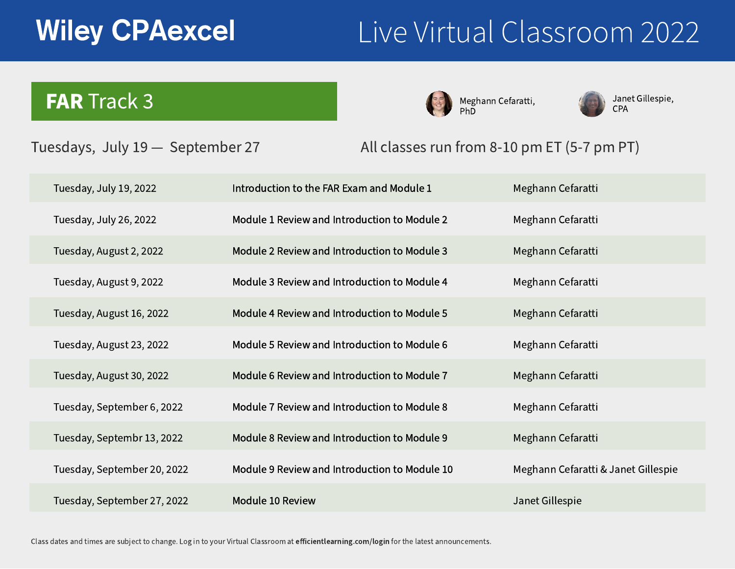Introduction to the FAR Exam and Mo Module 1 Review and Introduction to Module 2 Review and Introduction to Module 3 Review and Introduction to Module 4 Review and Introduction to Module 5 Review and Introduction to Module 6 Review and Introduction to Module 7 Review and Introduction to Module 8 Review and Introduction to Module 9 Review and Introduction to Module 10 Review



| odule 1    | Meghann Cefaratti                   |
|------------|-------------------------------------|
| D Module 2 | Meghann Cefaratti                   |
| Module 3   | Meghann Cefaratti                   |
| Module 4   | Meghann Cefaratti                   |
| Module 5   | Meghann Cefaratti                   |
| Module 6   | Meghann Cefaratti                   |
| Module 7   | Meghann Cefaratti                   |
| Module 8   | Meghann Cefaratti                   |
| Module 9   | Meghann Cefaratti                   |
| Module 10  | Meghann Cefaratti & Janet Gillespie |
|            | Janet Gillespie                     |



### Tuesdays, July 19 — September 27 All classes run from 8-10 pm ET (5-7 pm PT)

Meghann Cefaratti, PhD



Janet Gillespie, CPA

Tuesday, July 19, 2022

Tuesday, July 26, 2022

Tuesday, August 2, 2022

Tuesday, August 9, 2022

Tuesday, August 16, 2022

Tuesday, August 23, 2022

Tuesday, August 30, 2022

Tuesday, September 6, 2022

Tuesday, Septembr 13, 2022

Tuesday, September 20, 2022

Tuesday, September 27, 2022

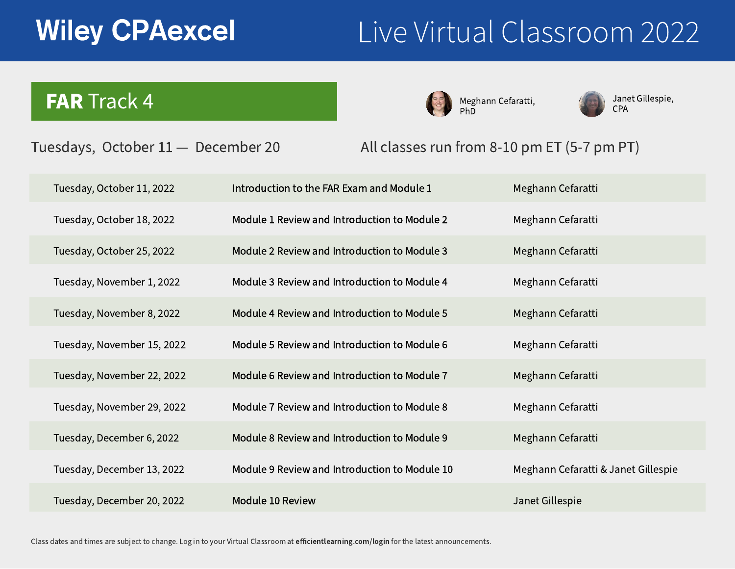Introduction to the FAR Exam and Mo Module 1 Review and Introduction to Module 2 Review and Introduction to Module 3 Review and Introduction to Module 4 Review and Introduction to Module 5 Review and Introduction to Module 6 Review and Introduction to Module 7 Review and Introduction to Module 8 Review and Introduction to Module 9 Review and Introduction to Module 10 Review



| odule 1    | Meghann Cefaratti                   |
|------------|-------------------------------------|
| D Module 2 | Meghann Cefaratti                   |
| Module 3   | Meghann Cefaratti                   |
| Module 4   | Meghann Cefaratti                   |
| Module 5   | Meghann Cefaratti                   |
| Module 6   | Meghann Cefaratti                   |
| D Module 7 | Meghann Cefaratti                   |
| Module 8   | Meghann Cefaratti                   |
| Module 9   | Meghann Cefaratti                   |
| Module 10  | Meghann Cefaratti & Janet Gillespie |
|            | Janet Gillespie                     |



### Tuesdays, October 11 — December 20 All classes run from 8-10 pm ET (5-7 pm PT)

Meghann Cefaratti, PhD



Janet Gillespie, CPA

Tuesday, October 11, 2022

Tuesday, October 18, 2022

Tuesday, October 25, 2022

Tuesday, November 1, 2022

Tuesday, November 8, 2022

Tuesday, November 15, 2022

Tuesday, November 22, 2022

Tuesday, November 29, 2022

Tuesday, December 6, 2022

Tuesday, December 13, 2022

Tuesday, December 20, 2022

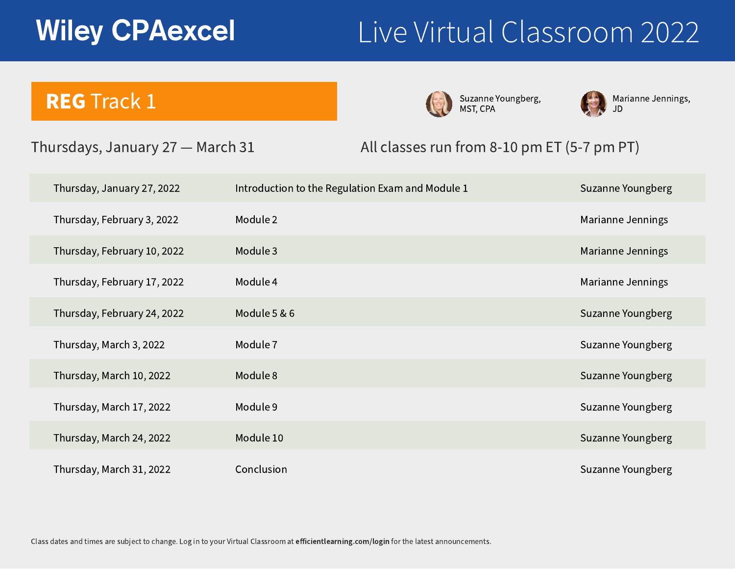| Introduction to the Regulation Exam and Module 1 | Suza |
|--------------------------------------------------|------|
| Module 2                                         | Mari |
| Module 3                                         | Mari |
| Module 4                                         | Mari |
| Module 5 & 6                                     | Suza |
| Module 7                                         | Suza |
| Module 8                                         | Suza |
| Module 9                                         | Suza |
| Module 10                                        | Suza |
| Conclusion                                       | Suza |



### Thursdays, January 27 — March 31

Marianne Jennings, JD

- anne Youngberg
- ianne Jennings
- ianne Jennings
- ianne Jennings
- anne Youngberg
- anne Youngberg
- anne Youngberg
- anne Youngberg
- anne Youngberg
- anne Youngberg

Suzanne Youngberg, MST, CPA



### All classes run from 8-10 pm ET (5-7 pm PT)

Thursday, January 27, 2022

Thursday, February 3, 2022

Thursday, February 10, 2022

Thursday, February 17, 2022

Thursday, February 24, 2022

Thursday, March 3, 2022

Thursday, March 10, 2022

Thursday, March 17, 2022

Thursday, March 24, 2022

Thursday, March 31, 2022

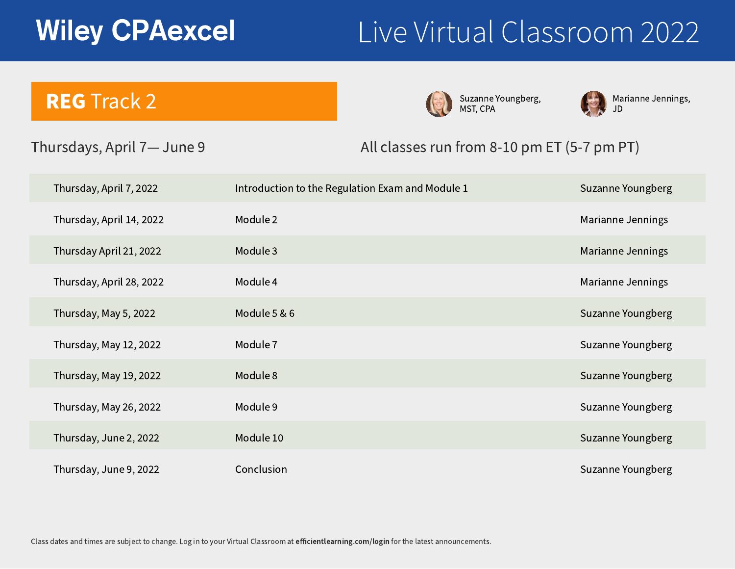| Introduction to the Regulation Exam and Module 1 | Suza |
|--------------------------------------------------|------|
| Module 2                                         | Mari |
| Module 3                                         | Mari |
| Module 4                                         | Mari |
| Module 5 & 6                                     | Suza |
| Module 7                                         | Suza |
| Module 8                                         | Suza |
| Module 9                                         | Suza |
| Module 10                                        | Suza |
| Conclusion                                       | Suza |

# Wiley CPAexcel Live Virtual Classroom 2022



### Thursdays, April 7— June 9

Marianne Jennings, JD

- anne Youngberg
- ianne Jennings
- ianne Jennings
- ianne Jennings
- anne Youngberg
- anne Youngberg
- anne Youngberg
- anne Youngberg
- anne Youngberg
- anne Youngberg

Suzanne Youngberg, MST, CPA



### All classes run from 8-10 pm ET (5-7 pm PT)

Thursday, April 7, 2022

Thursday, April 14, 2022

Thursday April 21, 2022

Thursday, April 28, 2022

Thursday, May 5, 2022

Thursday, May 12, 2022

Thursday, May 19, 2022

Thursday, May 26, 2022

Thursday, June 2, 2022

Thursday, June 9, 2022



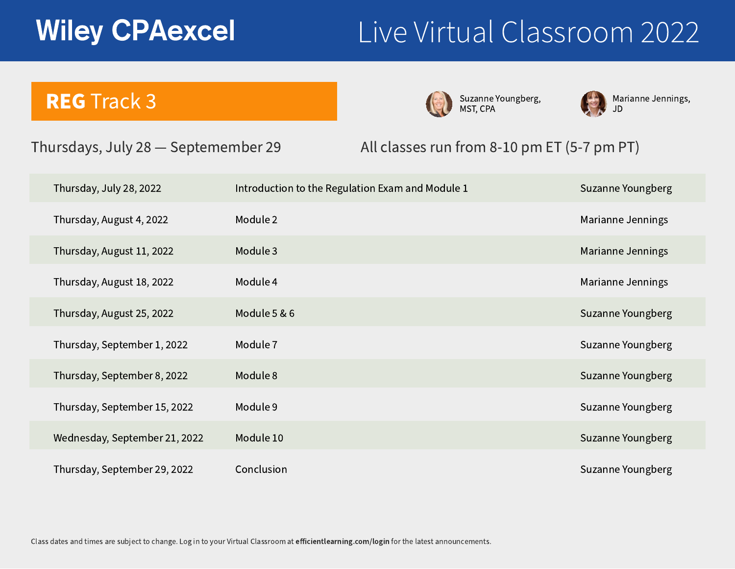| Introduction to the Regulation Exam and Module 1 | Suza |
|--------------------------------------------------|------|
| Module 2                                         | Mari |
| Module 3                                         | Mari |
| Module 4                                         | Mari |
| Module 5 & 6                                     | Suza |
| Module 7                                         | Suza |
| Module 8                                         | Suza |
| Module 9                                         | Suza |
| Module 10                                        | Suza |
| Conclusion                                       | Suza |

# Wiley CPAexcel Live Virtual Classroom 2022



### Thursdays, July 28 — Septemember 29

Marianne Jennings, JD

- anne Youngberg
- ianne Jennings
- ianne Jennings
- ianne Jennings
- anne Youngberg
- anne Youngberg
- anne Youngberg
- anne Youngberg
- anne Youngberg
- anne Youngberg

Suzanne Youngberg, MST, CPA



### All classes run from 8-10 pm ET (5-7 pm PT)

Thursday, July 28, 2022

Thursday, August 4, 2022

Thursday, August 11, 2022

Thursday, August 18, 2022

Thursday, August 25, 2022

Thursday, September 1, 2022

Thursday, September 8, 2022

Thursday, September 15, 2022

Wednesday, September 21, 2022

Thursday, September 29, 2022



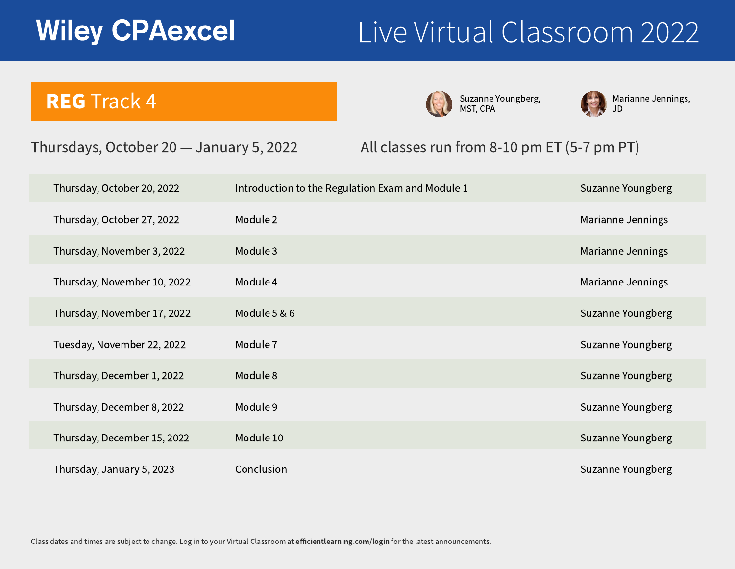| Introduction to the Regulation Exam and Module 1 | Suza |
|--------------------------------------------------|------|
| Module 2                                         | Mari |
| Module 3                                         | Mari |
| Module 4                                         | Mari |
| Module 5 & 6                                     | Suza |
| Module 7                                         | Suza |
| Module 8                                         | Suza |
| Module 9                                         | Suza |
| Module 10                                        | Suza |
| Conclusion                                       | Suza |

# Wiley CPAexcel Live Virtual Classroom 2022



### Thursdays, October 20 — January 5, 2022

Marianne Jennings, JD

- anne Youngberg
- ianne Jennings
- ianne Jennings
- ianne Jennings
- anne Youngberg
- anne Youngberg
- anne Youngberg
- anne Youngberg
- anne Youngberg
- anne Youngberg

Suzanne Youngberg, MST, CPA



### All classes run from 8-10 pm ET (5-7 pm PT)

Thursday, October 20, 2022 Thursday, October 27, 2022 Thursday, November 3, 2022 Thursday, November 10, 2022 Thursday, November 17, 2022 Tuesday, November 22, 2022 Thursday, December 1, 2022 Thursday, December 8, 2022 Thursday, December 15, 2022 Thursday, January 5, 2023



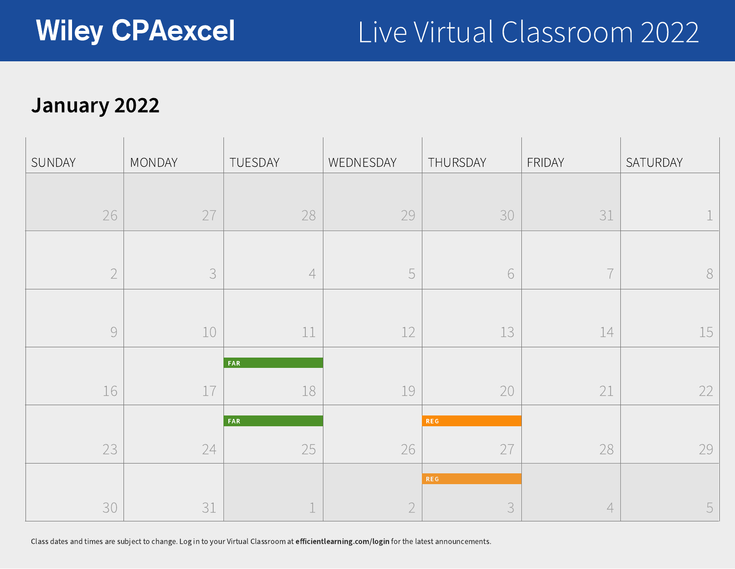## January 2022



Class dates and times are subject to change. Log in to your Virtual Classroom at efficientlearning.com/login for the latest announcements.



| SUNDAY                   | MONDAY                                    | TUESDAY     | WEDNESDAY                | THURSDAY                 | FRIDAY                            | SATURDAY                 |
|--------------------------|-------------------------------------------|-------------|--------------------------|--------------------------|-----------------------------------|--------------------------|
|                          |                                           |             |                          |                          |                                   |                          |
| 26                       | $\frown \frown$<br>$\sim$                 | 28          | 29                       | 30                       | $\bigcap$ $\bigcap$<br>$\sim$ $-$ |                          |
|                          |                                           |             |                          |                          |                                   |                          |
|                          |                                           |             |                          |                          |                                   |                          |
|                          |                                           |             |                          |                          |                                   |                          |
| $\overline{\phantom{a}}$ | $\perp$ $\cup$                            | المستعاملين | $\frac{1}{2}$            | $\perp$ $\cup$           | ا سلس                             | $\overline{\phantom{a}}$ |
|                          |                                           | <b>FAR</b>  |                          |                          |                                   |                          |
|                          | $\sim$ $\sim$ $\sim$ $\sim$ $\sim$ $\sim$ | -- -        | $\sim$<br>$\perp$ $\cup$ | $\overline{\phantom{0}}$ | $\overline{\phantom{a}}$          |                          |
|                          |                                           | FAR         |                          | <b>REG</b>               |                                   |                          |
| $\bigcap$                |                                           | $\sim$ $-$  |                          | $\frown$                 |                                   |                          |
|                          |                                           |             |                          | <b>REG</b>               |                                   |                          |
|                          |                                           |             |                          |                          |                                   |                          |

|    | THURSDAY             | FRIDAY |
|----|----------------------|--------|
|    |                      |        |
|    | 30                   |        |
|    |                      |        |
| 5  |                      |        |
|    |                      |        |
| -  | 1 <sup>2</sup><br>__ |        |
|    |                      |        |
|    | 20                   | d      |
|    | <b>REG</b>           |        |
| 26 |                      |        |
|    | <b>REG</b>           |        |
|    |                      |        |

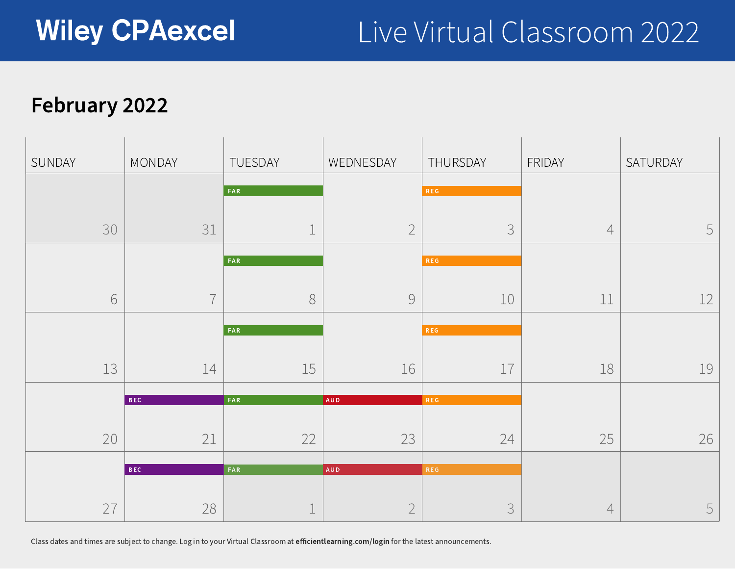## February 2022



Class dates and times are subject to change. Log in to your Virtual Classroom at efficientlearning.com/login for the latest announcements.

| SUNDAY | MONDAY                          |                          | TUESDAY          | WEDNESDAY                             | THURSDAY                                                                                                                                                                                                                                                   | FRIDAY                   | SATURDAY |
|--------|---------------------------------|--------------------------|------------------|---------------------------------------|------------------------------------------------------------------------------------------------------------------------------------------------------------------------------------------------------------------------------------------------------------|--------------------------|----------|
|        |                                 |                          | FAR              |                                       | REG                                                                                                                                                                                                                                                        |                          |          |
|        | 30                              | $\bigcap$ 1              |                  | $\bigcap$<br>$\overline{\phantom{0}}$ | $\bigcap$<br>$\overline{\smile}$                                                                                                                                                                                                                           | $\overline{\phantom{a}}$ |          |
|        |                                 |                          | FAR              |                                       | <b>REG</b>                                                                                                                                                                                                                                                 |                          |          |
|        | $\blacktriangleright$           | $\overline{\phantom{a}}$ |                  |                                       | 上し                                                                                                                                                                                                                                                         |                          |          |
|        |                                 |                          | FAR              |                                       | <b>REG</b>                                                                                                                                                                                                                                                 |                          |          |
|        | $\lnot$ $\lnot$<br>$\perp \cup$ | $\leftarrow$<br>—— —     | $\sqrt{2}$<br>工一 |                                       | $\overline{\phantom{a}}$<br>and the contract of the contract of the contract of the contract of the contract of the contract of the contract of the contract of the contract of the contract of the contract of the contract of the contract of the contra | -- -                     |          |
|        | BEC                             |                          | FAR              | AUD                                   | REG                                                                                                                                                                                                                                                        |                          |          |
|        | $\cap$                          | $\bigcap$ 1              | $\bigcap$        | $\bigcap$                             | $\bigcap$                                                                                                                                                                                                                                                  | $\bigcap$<br>$\sim$      |          |
|        | BEC                             |                          | <b>FAR</b>       | AUD                                   | REG                                                                                                                                                                                                                                                        |                          |          |
|        | $\frown \frown$                 |                          |                  |                                       |                                                                                                                                                                                                                                                            |                          |          |

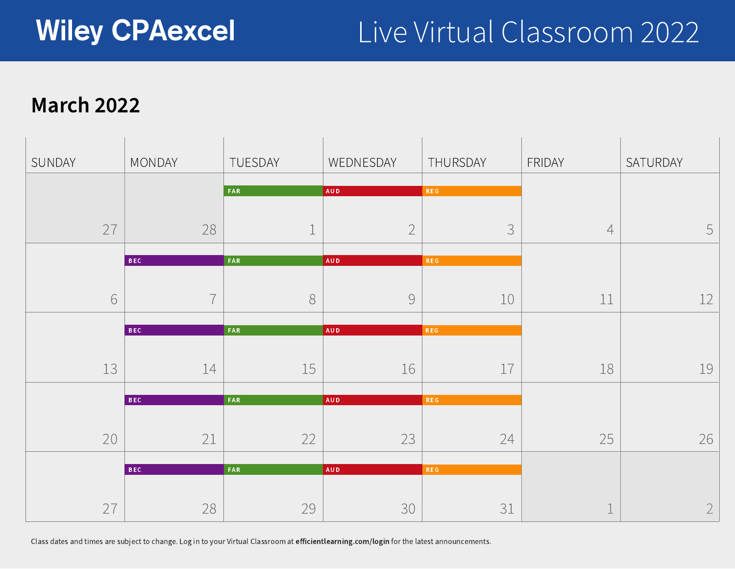### March 2022



Class dates and times are subject to change. Log in to your Virtual Classroom at efficientlearning.com/login for the latest announcements.

|                          | THURSDAY   | FRIDAY |
|--------------------------|------------|--------|
|                          | <b>REG</b> |        |
| $\overline{2}$           |            |        |
|                          | <b>REG</b> |        |
|                          | 10         |        |
|                          | <b>REG</b> |        |
| 16                       | 17         |        |
|                          | <b>REG</b> |        |
| $\overline{\phantom{a}}$ | $\angle$ 1 |        |
|                          | <b>REG</b> |        |
| 30                       | 31         |        |



| SUNDAY | MONDAY                   |                          | TUESDAY                                       | WEDNESDAY                             | THURSDAY                 | FRIDAY       | SATURDAY |
|--------|--------------------------|--------------------------|-----------------------------------------------|---------------------------------------|--------------------------|--------------|----------|
|        |                          |                          |                                               |                                       |                          |              |          |
|        |                          |                          | FAR                                           | AUD                                   | REG                      |              |          |
|        |                          |                          |                                               |                                       |                          |              |          |
|        | $\cap$<br>$\sqrt{2}$     | 28                       | $\overline{\phantom{a}}$                      | $\bigcap$<br>$\leftarrow$             | $\overline{\smile}$      | $\leftarrow$ | 5        |
|        |                          |                          |                                               |                                       |                          |              |          |
|        | BEC                      |                          | FAR                                           | AUD                                   | REG                      |              |          |
|        |                          |                          |                                               |                                       |                          |              |          |
|        |                          | $\rightarrow$            |                                               | $\bigcap$<br>$\overline{\phantom{0}}$ | 工し                       |              |          |
|        |                          |                          |                                               |                                       |                          |              |          |
|        | BEC                      |                          | FAR                                           | AUD                                   | REG                      |              |          |
|        |                          |                          |                                               |                                       |                          |              |          |
|        | $\overline{\phantom{a}}$ | $\overline{\phantom{0}}$ | $\sim$ $\sim$<br>$\sqrt{ }$<br>$\perp$ $\cup$ |                                       | $\rightarrow$            |              |          |
|        |                          |                          |                                               |                                       |                          |              |          |
|        | BEC                      |                          | FAR                                           | <b>AUD</b>                            | REG                      |              |          |
|        |                          |                          |                                               |                                       |                          |              |          |
|        | $\bigcap$<br>$\sim$      | $\bigcap$                | $\bigcap$                                     | $\bigcap$<br>$\overline{\phantom{a}}$ | $\bigcap$<br>24          | つに           |          |
|        |                          |                          |                                               |                                       |                          |              |          |
|        | BEC                      |                          | FAR                                           | AUD                                   | REG                      |              |          |
|        |                          |                          |                                               |                                       |                          |              |          |
|        | $\frown \frown$          |                          | $\bigcap$                                     | $\bigcap$                             | $\overline{\phantom{a}}$ |              |          |
|        |                          |                          |                                               |                                       |                          |              |          |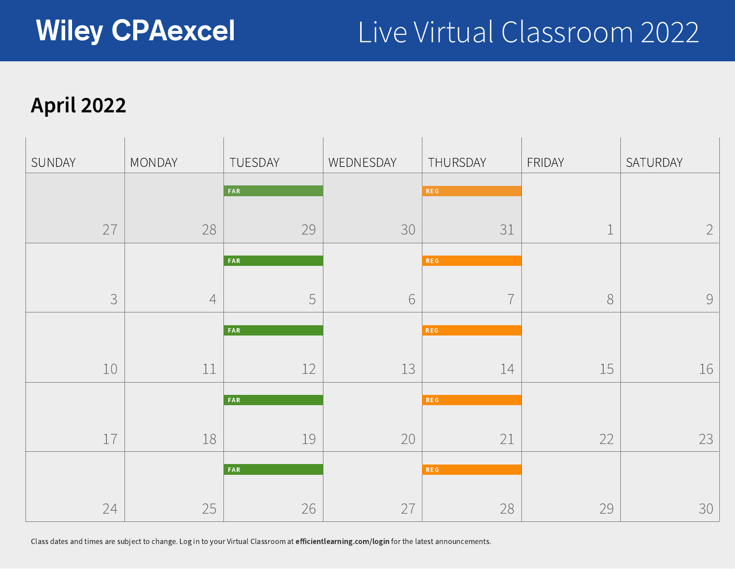## April 2022

| SUNDAY |                  | MONDAY |
|--------|------------------|--------|
|        |                  |        |
|        | 27               |        |
|        |                  |        |
|        |                  |        |
|        |                  |        |
|        | 10               |        |
|        |                  |        |
|        | $1 \overline{7}$ |        |
|        |                  |        |
|        | 24               |        |



Class dates and times are subject to change. Log in to your Virtual Classroom at efficientlearning.com/login for the latest announcements.

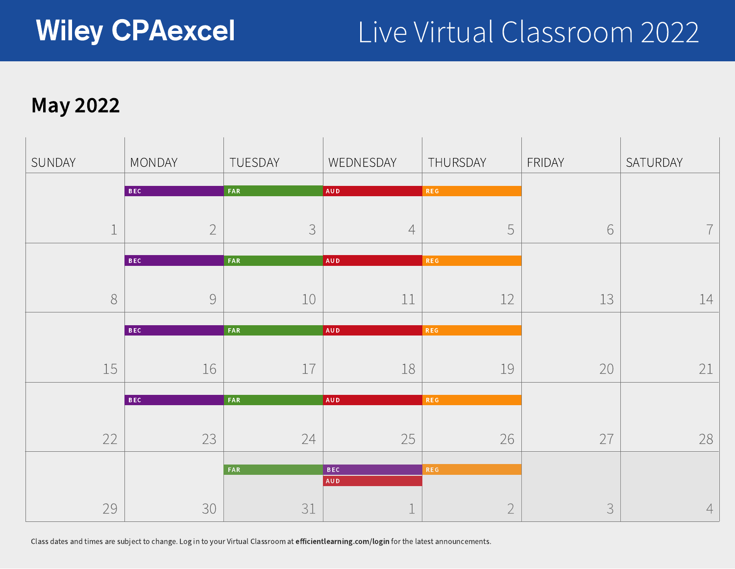

### May 2022

Class dates and times are subject to change. Log in to your Virtual Classroom at efficientlearning.com/login for the latest announcements.

| SUNDAY                                                       | MONDAY                                | TUESDAY                                | WEDNESDAY                | THURSDAY                               | FRIDAY                   | SATURDAY                 |
|--------------------------------------------------------------|---------------------------------------|----------------------------------------|--------------------------|----------------------------------------|--------------------------|--------------------------|
|                                                              | BEC                                   | FAR                                    | AUD                      | REG                                    |                          |                          |
|                                                              |                                       |                                        |                          |                                        |                          |                          |
|                                                              | $\bigcap$<br>$\overline{\phantom{0}}$ | $\bigcap$                              |                          | $\sqrt{ }$<br>$\overline{\phantom{a}}$ | $\bigcirc$               | $\overline{\phantom{a}}$ |
|                                                              | BEC                                   | FAR                                    | AUD                      | <b>REG</b>                             |                          |                          |
|                                                              |                                       |                                        |                          |                                        |                          |                          |
|                                                              |                                       | $\bot \cup$                            | --                       | _____                                  | $\overline{\phantom{a}}$ |                          |
|                                                              | BEC                                   | <b>FAR</b>                             | AUD                      | <b>REG</b>                             |                          |                          |
|                                                              |                                       |                                        |                          |                                        |                          |                          |
| $\blacksquare$<br>$\overline{\phantom{a}}$<br>$\perp$ $\cup$ | $\sqrt{2}$                            | $\overline{\phantom{a}}$<br>--         | $\overline{\phantom{a}}$ | $\overline{\phantom{a}}$               | $\cap$                   |                          |
|                                                              | BEC                                   | <b>FAR</b>                             | AUD                      | <b>REG</b>                             |                          |                          |
|                                                              |                                       |                                        |                          |                                        |                          |                          |
| $\bigcap$<br>$\angle$ $\angle$                               | $\bigcap$<br>$\sim$                   | $\overline{\phantom{a}}$<br>$\sqrt{2}$ | つに<br>$\sim$             | 26<br>$\angle$                         | $\frown \frown$          | 7 Q                      |
|                                                              |                                       | FAR <sup></sup>                        | <b>BEC</b>               | <b>REG</b>                             |                          |                          |
|                                                              |                                       |                                        | AUD                      |                                        |                          |                          |
| $\cap$<br>$\angle$                                           | $\bigcap$                             |                                        |                          |                                        |                          |                          |
|                                                              |                                       |                                        |                          |                                        |                          |                          |



| AUD<br><b>FAR</b><br><b>REG</b><br>10<br><b>FAR</b><br>AUD<br><b>REG</b><br>16<br>17<br>AUD<br><b>FAR</b><br><b>REG</b><br>25<br>23<br>$2 +$<br><b>BEC</b><br><b>FAR</b><br>AUD<br>$3^{1}$<br>$\mathcal{R}$ | TUESDAY    | WEDNESDAY  |            |
|-------------------------------------------------------------------------------------------------------------------------------------------------------------------------------------------------------------|------------|------------|------------|
|                                                                                                                                                                                                             | <b>FAR</b> | <b>AUD</b> | <b>REG</b> |
|                                                                                                                                                                                                             |            |            |            |
|                                                                                                                                                                                                             |            |            |            |
|                                                                                                                                                                                                             |            |            |            |
|                                                                                                                                                                                                             |            |            |            |
|                                                                                                                                                                                                             |            |            |            |
|                                                                                                                                                                                                             |            |            |            |
|                                                                                                                                                                                                             |            |            |            |
|                                                                                                                                                                                                             |            |            |            |
|                                                                                                                                                                                                             |            |            |            |
|                                                                                                                                                                                                             |            |            |            |
|                                                                                                                                                                                                             |            |            | <b>REG</b> |
|                                                                                                                                                                                                             |            |            |            |
|                                                                                                                                                                                                             |            |            |            |

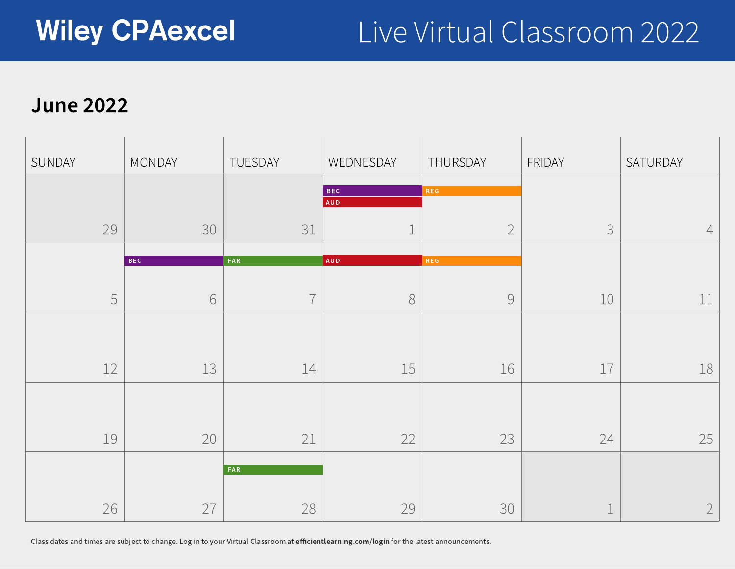### June 2022



Class dates and times are subject to change. Log in to your Virtual Classroom at efficientlearning.com/login for the latest announcements.



|    | THURSDAY        | FRIDAY |
|----|-----------------|--------|
|    | <b>REG</b>      |        |
|    |                 |        |
|    |                 |        |
|    |                 |        |
|    |                 |        |
|    | <b>REG</b>      |        |
|    |                 |        |
|    |                 |        |
|    |                 |        |
|    |                 |        |
|    |                 |        |
| 15 | 16              |        |
|    |                 |        |
|    |                 |        |
|    |                 |        |
| 22 | $\bigcup$<br>LJ |        |
|    |                 |        |
|    |                 |        |
|    |                 |        |
| 29 | 30              |        |
|    |                 |        |



| SUNDAY                                                                                                                                                                                                                                                                                                                                                                                                                                                                                                                                   | MONDAY                   | TUESDAY                   | WEDNESDAY                                                                        | THURSDAY                              | FRIDAY                                 | SATURDAY       |
|------------------------------------------------------------------------------------------------------------------------------------------------------------------------------------------------------------------------------------------------------------------------------------------------------------------------------------------------------------------------------------------------------------------------------------------------------------------------------------------------------------------------------------------|--------------------------|---------------------------|----------------------------------------------------------------------------------|---------------------------------------|----------------------------------------|----------------|
|                                                                                                                                                                                                                                                                                                                                                                                                                                                                                                                                          |                          |                           | <b>BEC</b>                                                                       | REG                                   |                                        |                |
|                                                                                                                                                                                                                                                                                                                                                                                                                                                                                                                                          |                          |                           | AUD                                                                              |                                       |                                        |                |
| 79<br>$\overline{\phantom{a}}$                                                                                                                                                                                                                                                                                                                                                                                                                                                                                                           | 30                       | $\bigcap$ 1<br>$\sim$ $+$ |                                                                                  | $\bigcap$<br>$\overline{\phantom{0}}$ | $\sqrt{2}$<br>$\overline{\phantom{a}}$ | $\overline{4}$ |
|                                                                                                                                                                                                                                                                                                                                                                                                                                                                                                                                          | BEC                      | FAR                       | AUD                                                                              | <b>REG</b>                            |                                        |                |
|                                                                                                                                                                                                                                                                                                                                                                                                                                                                                                                                          |                          |                           |                                                                                  |                                       |                                        |                |
|                                                                                                                                                                                                                                                                                                                                                                                                                                                                                                                                          |                          | $\overline{\phantom{a}}$  |                                                                                  |                                       | <u>andron v</u>                        |                |
|                                                                                                                                                                                                                                                                                                                                                                                                                                                                                                                                          |                          |                           |                                                                                  |                                       |                                        |                |
|                                                                                                                                                                                                                                                                                                                                                                                                                                                                                                                                          |                          |                           |                                                                                  |                                       |                                        |                |
| $\sim$<br>$\begin{tabular}{ll} \toprule \end{tabular} \begin{tabular}{ll} \toprule \end{tabular} \end{tabular} \begin{tabular}{ll} \toprule \end{tabular} \end{tabular} \begin{tabular}{ll} \begin{tabular}{ll} \toprule \end{tabular} \end{tabular} \end{tabular} \begin{tabular}{ll} \multicolumn{1}{l} \multicolumn{1}{l} \multicolumn{1}{l} \multicolumn{1}{l} \multicolumn{1}{l} \multicolumn{1}{l} \multicolumn{1}{l} \multicolumn{1}{l} \multicolumn{1}{l} \multicolumn{1}{l} \multicolumn{1}{l} \multicolumn{1}{l} \multicolumn$ | $\overline{\phantom{a}}$ | —<br>--                   | $\overline{\phantom{0}}$<br>$\overline{\phantom{a}}$<br>$\overline{\phantom{a}}$ |                                       | $\overline{\phantom{a}}$               |                |
|                                                                                                                                                                                                                                                                                                                                                                                                                                                                                                                                          |                          |                           |                                                                                  |                                       |                                        |                |
|                                                                                                                                                                                                                                                                                                                                                                                                                                                                                                                                          |                          |                           |                                                                                  |                                       |                                        |                |
| $1 \cap$                                                                                                                                                                                                                                                                                                                                                                                                                                                                                                                                 | $\cap$                   | $\bigcap$ 1               | $\bigcap$<br>$\overline{\phantom{a}}$                                            | $\bigcap$<br>$\overline{\phantom{a}}$ | $\bigcap_{i=1}^n A_i$                  | $\cap$         |
|                                                                                                                                                                                                                                                                                                                                                                                                                                                                                                                                          |                          | FAR                       |                                                                                  |                                       |                                        |                |
|                                                                                                                                                                                                                                                                                                                                                                                                                                                                                                                                          |                          |                           |                                                                                  |                                       |                                        |                |
|                                                                                                                                                                                                                                                                                                                                                                                                                                                                                                                                          | $\sim$                   |                           |                                                                                  |                                       |                                        |                |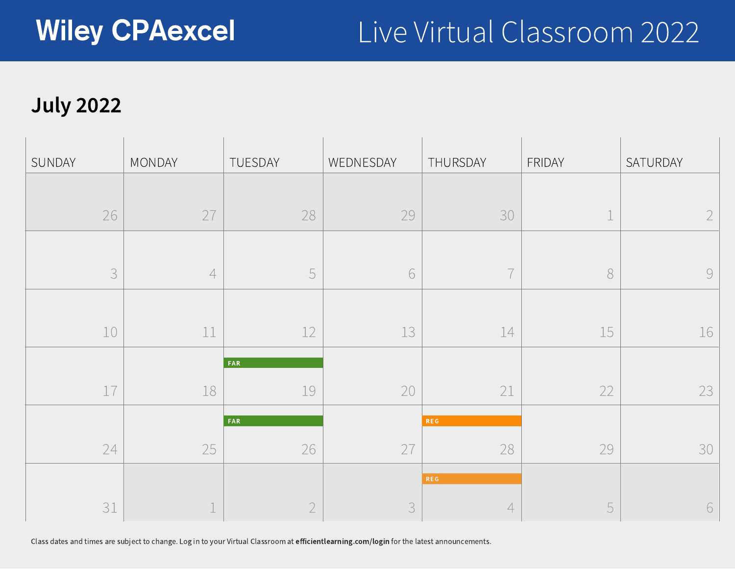## July 2022



Class dates and times are subject to change. Log in to your Virtual Classroom at efficientlearning.com/login for the latest announcements.



| SUNDAY        | MONDAY                                                      | TUESDAY         | WEDNESDAY    | THURSDAY             | FRIDAY       | SATURDAY       |
|---------------|-------------------------------------------------------------|-----------------|--------------|----------------------|--------------|----------------|
|               |                                                             |                 |              |                      |              |                |
| 26            | $\cap$ $\overline{\phantom{a}}$<br>$\overline{\phantom{0}}$ | 28              | 29           | 30                   | $\sim$       | $\bigcap$      |
|               |                                                             |                 |              |                      |              |                |
|               |                                                             |                 |              |                      |              |                |
|               |                                                             |                 |              |                      |              |                |
| $\bot \cup$   | الطباطب                                                     | $\perp$ $\perp$ | $\perp \cup$ | المستقبل             | $\perp \cup$ | $\perp$ $\cup$ |
|               |                                                             | FAR <sup></sup> |              |                      |              |                |
| $\sim$ $\sim$ |                                                             |                 | $\cap$       | $\sim$ $\sim$<br>___ | $\bigcap$    |                |
|               |                                                             | FAR             |              | <b>REG</b>           |              |                |
|               | $\frown$ $\frown$                                           | $\sim$ $\sim$   | $\frown$     |                      |              |                |
|               |                                                             |                 |              | <b>REG</b>           |              |                |
|               |                                                             |                 |              |                      |              |                |

|               | THURSDAY                                                                                                                                                                                                                                                                                                                                                                                                                                                                         | FRIDAY |
|---------------|----------------------------------------------------------------------------------------------------------------------------------------------------------------------------------------------------------------------------------------------------------------------------------------------------------------------------------------------------------------------------------------------------------------------------------------------------------------------------------|--------|
|               |                                                                                                                                                                                                                                                                                                                                                                                                                                                                                  |        |
| 79            | 30                                                                                                                                                                                                                                                                                                                                                                                                                                                                               |        |
|               |                                                                                                                                                                                                                                                                                                                                                                                                                                                                                  |        |
|               |                                                                                                                                                                                                                                                                                                                                                                                                                                                                                  |        |
|               |                                                                                                                                                                                                                                                                                                                                                                                                                                                                                  |        |
|               |                                                                                                                                                                                                                                                                                                                                                                                                                                                                                  |        |
|               |                                                                                                                                                                                                                                                                                                                                                                                                                                                                                  |        |
| 13            | 14<br>$\frac{1}{1} \left( \frac{1}{1} \right) \left( \frac{1}{1} \right) \left( \frac{1}{1} \right) \left( \frac{1}{1} \right) \left( \frac{1}{1} \right) \left( \frac{1}{1} \right) \left( \frac{1}{1} \right) \left( \frac{1}{1} \right) \left( \frac{1}{1} \right) \left( \frac{1}{1} \right) \left( \frac{1}{1} \right) \left( \frac{1}{1} \right) \left( \frac{1}{1} \right) \left( \frac{1}{1} \right) \left( \frac{1}{1} \right) \left( \frac{1}{1} \right) \left( \frac$ |        |
|               |                                                                                                                                                                                                                                                                                                                                                                                                                                                                                  |        |
|               |                                                                                                                                                                                                                                                                                                                                                                                                                                                                                  |        |
|               |                                                                                                                                                                                                                                                                                                                                                                                                                                                                                  | d      |
|               |                                                                                                                                                                                                                                                                                                                                                                                                                                                                                  |        |
|               | <b>REG</b>                                                                                                                                                                                                                                                                                                                                                                                                                                                                       |        |
|               | 78                                                                                                                                                                                                                                                                                                                                                                                                                                                                               | 4<br>Z |
|               |                                                                                                                                                                                                                                                                                                                                                                                                                                                                                  |        |
|               | <b>REG</b>                                                                                                                                                                                                                                                                                                                                                                                                                                                                       |        |
| $\mathcal{C}$ |                                                                                                                                                                                                                                                                                                                                                                                                                                                                                  |        |
|               |                                                                                                                                                                                                                                                                                                                                                                                                                                                                                  |        |

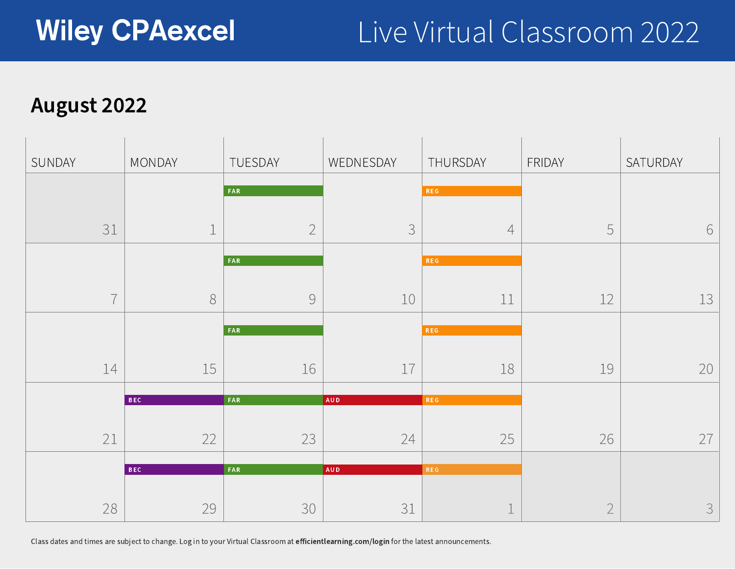### August 2022



Class dates and times are subject to change. Log in to your Virtual Classroom at efficientlearning.com/login for the latest announcements.

|                 | THURSDAY   | FRIDAY |
|-----------------|------------|--------|
|                 | <b>REG</b> |        |
|                 |            |        |
| 3               |            |        |
|                 | <b>REG</b> |        |
|                 |            |        |
| 10              | 11         |        |
|                 |            |        |
|                 | <b>REG</b> |        |
| 17              | 18         |        |
|                 |            |        |
|                 | <b>REG</b> |        |
| $\bigcap$<br>24 | $\angle$   |        |
|                 |            |        |
|                 | <b>REG</b> |        |
|                 |            |        |
| 31              |            |        |
|                 |            |        |



| SUNDAY | MONDAY                                      | TUESDAY                               | WEDNESDAY                                       | THURSDAY   | FRIDAY                                               | SATURDAY  |
|--------|---------------------------------------------|---------------------------------------|-------------------------------------------------|------------|------------------------------------------------------|-----------|
|        |                                             | FAR                                   |                                                 | REG        |                                                      |           |
|        | $\bigcap$ 1<br>$\cup$ $\bot$<br>$\sim$      | $\overline{\phantom{0}}$              | $\bigcap$<br>$\overline{\smile}$                | $-$        | $\sim$<br>$\blacksquare$<br>$\overline{\phantom{a}}$ | 6         |
|        |                                             | FAR                                   |                                                 | <b>REG</b> |                                                      |           |
|        | $\overline{\phantom{a}}$                    |                                       | $\overline{\phantom{a}}$                        | --         | $\bigcap$                                            |           |
|        |                                             | FAR                                   |                                                 | <b>REG</b> |                                                      |           |
|        | $\overline{\phantom{0}}$<br>╶╺╾<br>エン<br>-- | $\sim$<br>$\sim$<br>$\bot \cup$       | $\overline{\phantom{a}}$<br>and the contract of | __         | -- -                                                 |           |
|        | BEC                                         | FAR                                   | AUD                                             | REG        |                                                      |           |
|        | $\bigcap$ 1<br>$\bigcap$                    | $\bigcap$<br>$\overline{\phantom{a}}$ | $\bigcap$                                       | $\bigcap$  | 2C                                                   | $\bigcap$ |
|        | BEC                                         | FAR                                   | <b>AUD</b>                                      | <b>REG</b> |                                                      |           |
|        |                                             |                                       |                                                 |            |                                                      |           |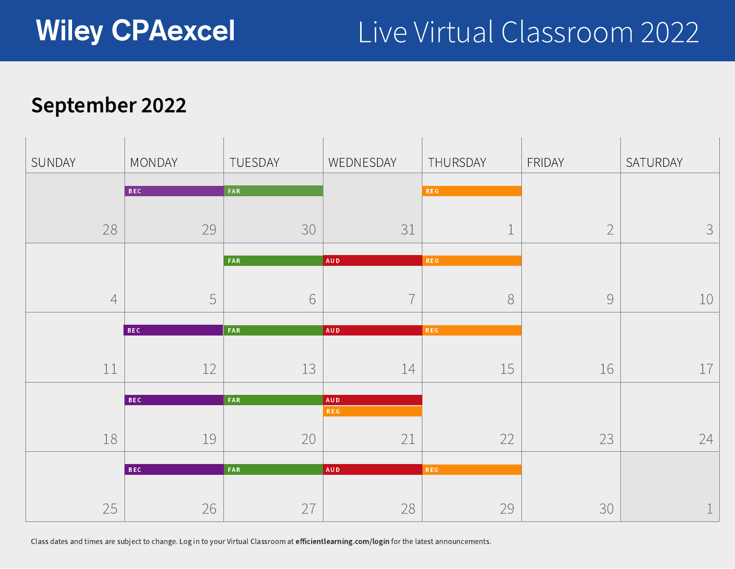### September 2022

Wiley CPAexcel

Class dates and times are subject to change. Log in to your Virtual Classroom at efficientlearning.com/login for the latest announcements.



|                  | THURSDAY        | FRIDAY |
|------------------|-----------------|--------|
|                  | <b>REG</b>      |        |
| 31               |                 |        |
|                  | <b>REG</b>      |        |
|                  |                 |        |
|                  | <b>REG</b>      |        |
| 14               | 15              |        |
|                  |                 |        |
| $\angle$ $\perp$ | $\angle \angle$ |        |
|                  | <b>REG</b>      |        |
| 28               | 29              |        |



| SUNDAY                                    | MONDAY                                               | TUESDAY                  | WEDNESDAY                      | THURSDAY                               | FRIDAY                                | SATURDAY                                                              |
|-------------------------------------------|------------------------------------------------------|--------------------------|--------------------------------|----------------------------------------|---------------------------------------|-----------------------------------------------------------------------|
|                                           | BEC                                                  | FAR                      |                                | REG                                    |                                       |                                                                       |
|                                           |                                                      |                          |                                |                                        |                                       |                                                                       |
| 28                                        | 29                                                   | 30                       | $\bigcap$ 1<br>マエ              | $\overline{\phantom{a}}$               | $\bigcap$<br>$\overline{\phantom{0}}$ | $\begin{array}{c} \mathbf{C} \end{array}$<br>$\overline{\phantom{a}}$ |
|                                           |                                                      | <b>FAR</b>               | AUD                            | <b>REG</b>                             |                                       |                                                                       |
|                                           |                                                      |                          |                                |                                        |                                       |                                                                       |
|                                           | $\overline{\phantom{a}}$<br>$\overline{\phantom{a}}$ |                          | $\overline{\phantom{a}}$       |                                        |                                       |                                                                       |
|                                           |                                                      |                          |                                |                                        |                                       |                                                                       |
|                                           | <b>BEC</b>                                           | FAR                      | AUD                            | REG                                    |                                       |                                                                       |
|                                           | $\sqrt{2}$                                           | $\lnot$                  | ___                            | $\sim$ $\sim$                          | $\sim$                                |                                                                       |
| ويتعارض ويتلون                            |                                                      | $\perp \cup$             |                                | $\perp$ $\sim$                         |                                       |                                                                       |
|                                           | BEC                                                  | FAR                      | AUD<br>REG                     |                                        |                                       |                                                                       |
|                                           |                                                      |                          |                                |                                        |                                       |                                                                       |
| $\bot$ $\cup$                             | 工一                                                   | $\cap$<br>$\angle$       | $\bigcap$ $\bigcap$<br>$\perp$ | $\bigcap$<br>$\leftarrow$ $\leftarrow$ | $\bigcap$<br>$\overline{\phantom{a}}$ | 24                                                                    |
|                                           | BEC                                                  | FAR                      | AUD                            | REG                                    |                                       |                                                                       |
|                                           |                                                      |                          |                                |                                        |                                       |                                                                       |
| $\cap$ $\Box$<br>$\overline{\phantom{a}}$ |                                                      | $\frown$<br>$\leftarrow$ |                                | $\bigcap$<br>$\overline{\phantom{a}}$  |                                       |                                                                       |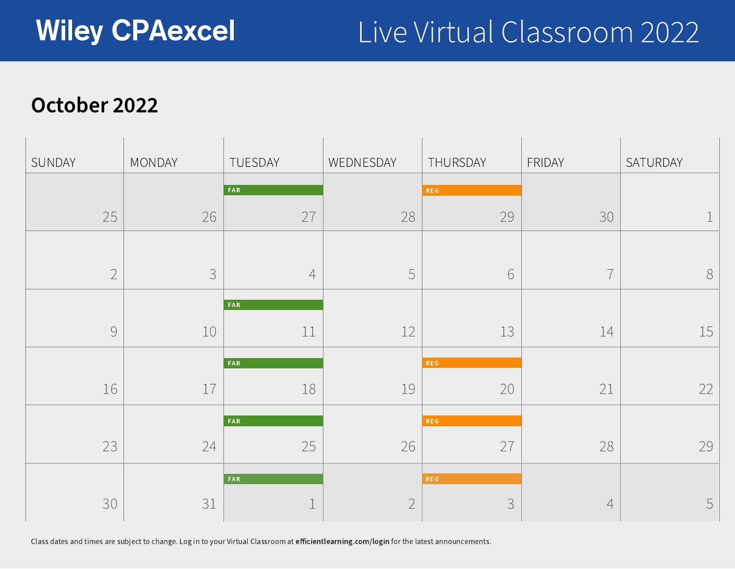### October 2022

| SUNDAY | MONDAY |
|--------|--------|
| 25     |        |
|        |        |
|        |        |
| 16     |        |
| 23     |        |
| 30     |        |



Class dates and times are subject to change. Log in to your Virtual Classroom at efficientlearning.com/login for the latest announcements.

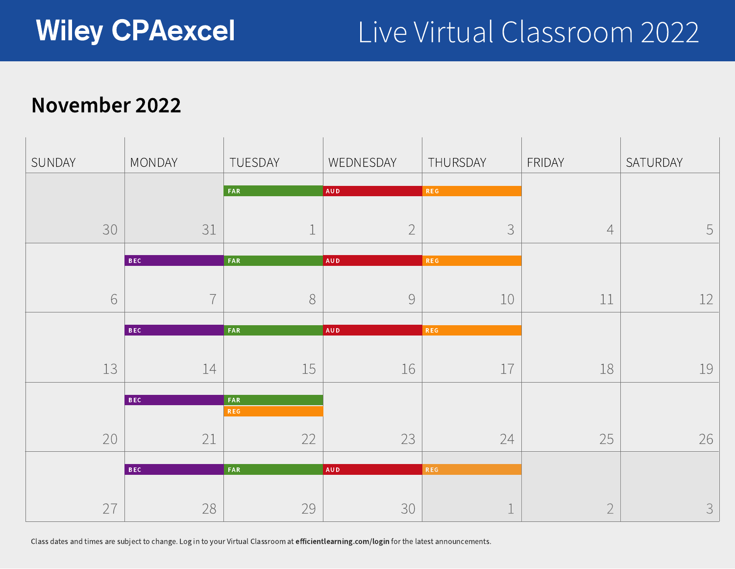## November 2022



Class dates and times are subject to change. Log in to your Virtual Classroom at efficientlearning.com/login for the latest announcements.

|    | THURSDAY   | FRIDAY |
|----|------------|--------|
|    |            |        |
|    | <b>REG</b> |        |
|    |            |        |
|    |            |        |
|    | $\bigcup$  |        |
|    |            |        |
|    | <b>REG</b> |        |
|    |            |        |
|    |            |        |
|    | 10         |        |
|    |            |        |
|    | <b>REG</b> |        |
|    |            |        |
|    |            |        |
| 16 | 17         |        |
|    |            |        |
|    |            |        |
|    |            |        |
|    |            |        |
| 23 | 24         |        |
|    |            |        |
|    | <b>REG</b> |        |
|    |            |        |
|    |            |        |
| 30 |            |        |
|    |            |        |



| SUNDAY                                                                                                                                                                                                                                                           | MONDAY                       | TUESDAY                               | WEDNESDAY                             | THURSDAY                 | FRIDAY                         | SATURDAY |
|------------------------------------------------------------------------------------------------------------------------------------------------------------------------------------------------------------------------------------------------------------------|------------------------------|---------------------------------------|---------------------------------------|--------------------------|--------------------------------|----------|
|                                                                                                                                                                                                                                                                  |                              | FAR                                   | AUD                                   | REG                      |                                |          |
|                                                                                                                                                                                                                                                                  |                              |                                       |                                       |                          |                                |          |
| 30                                                                                                                                                                                                                                                               | $\bigcap$ 1<br>$\cup$ $\bot$ | $\sim$                                | $\bigcap$<br>$\leftharpoonup$         | $\overline{\phantom{a}}$ | ▃▃                             | 5        |
|                                                                                                                                                                                                                                                                  | BEC                          | FAR                                   | AUD                                   | REG                      |                                |          |
|                                                                                                                                                                                                                                                                  |                              |                                       |                                       |                          |                                |          |
|                                                                                                                                                                                                                                                                  | $\rightarrow$                |                                       |                                       | エヽ                       |                                |          |
|                                                                                                                                                                                                                                                                  | BEC                          | FAR                                   | AUD                                   | REG                      |                                |          |
|                                                                                                                                                                                                                                                                  |                              |                                       |                                       |                          |                                |          |
| <u>the contract of the contract of the contract of the contract of the contract of the contract of the contract of the contract of the contract of the contract of the contract of the contract of the contract of the contract </u><br>$\overline{\phantom{a}}$ |                              | <b>Property</b><br>$\perp$ $\cup$     |                                       |                          |                                |          |
|                                                                                                                                                                                                                                                                  | <b>BEC</b>                   | FAR                                   |                                       |                          |                                |          |
|                                                                                                                                                                                                                                                                  |                              | <b>REG</b>                            |                                       |                          |                                |          |
| $\cap$<br>$\angle$                                                                                                                                                                                                                                               | $\bigcap$ 1<br>— —           | $\bigcap$<br>$\overline{\phantom{a}}$ | $\bigcap$<br>$\overline{\phantom{a}}$ | $\bigcap$<br>24          | つに<br>$\overline{\phantom{a}}$ |          |
|                                                                                                                                                                                                                                                                  |                              |                                       |                                       |                          |                                |          |
|                                                                                                                                                                                                                                                                  | BEC                          | FAR                                   | AUD                                   | REG                      |                                |          |
| $\frown \frown$<br>$\overline{\phantom{0}}$                                                                                                                                                                                                                      | $\bigcap$                    | $\bigcap$<br>$\overline{\phantom{a}}$ | $\bigcap$                             |                          |                                |          |
|                                                                                                                                                                                                                                                                  |                              |                                       |                                       |                          |                                |          |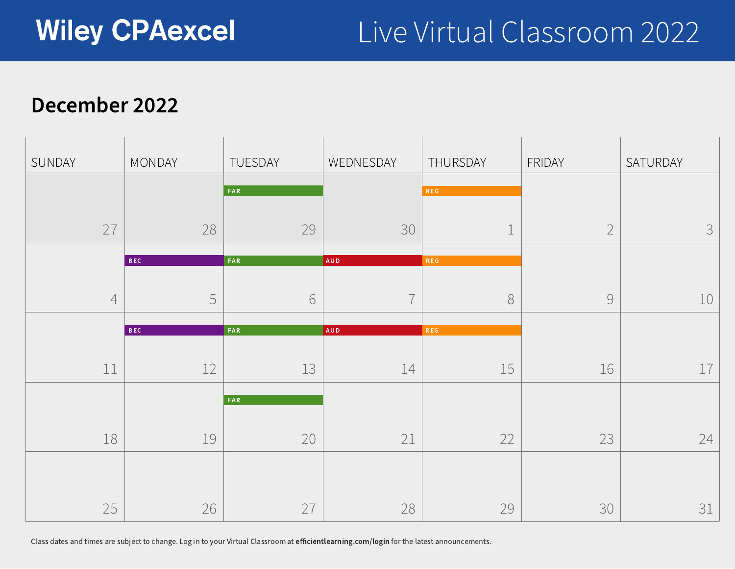### December 2022



Class dates and times are subject to change. Log in to your Virtual Classroom at efficientlearning.com/login for the latest announcements.

|                  | THURSDAY                 | FRIDAY |
|------------------|--------------------------|--------|
|                  | <b>REG</b>               |        |
| 30               | $\overline{\phantom{0}}$ |        |
|                  | <b>REG</b>               |        |
|                  |                          |        |
|                  | <b>REG</b>               |        |
| 14               | 15                       |        |
|                  |                          |        |
| $\angle$ $\perp$ | 22                       |        |
|                  |                          |        |
| 28               | 29                       |        |



| SUNDAY | MONDAY                                               | TUESDAY                           | WEDNESDAY     | THURSDAY  | FRIDAY                   | SATURDAY                            |
|--------|------------------------------------------------------|-----------------------------------|---------------|-----------|--------------------------|-------------------------------------|
|        |                                                      | FAR                               |               | REG       |                          |                                     |
|        |                                                      |                                   |               |           |                          |                                     |
| $\cap$ | 28                                                   | 29                                | 30            |           | $\bigcap$                | $\mathbf{C}$<br>$\overline{\smile}$ |
| $\sim$ |                                                      |                                   |               | -         | $\overline{\phantom{0}}$ |                                     |
|        | BEC                                                  | FAR                               | AUD           | REG       |                          |                                     |
|        |                                                      |                                   |               |           |                          |                                     |
|        | $\overline{\phantom{0}}$<br>$\overline{\phantom{a}}$ |                                   | $\rightarrow$ |           |                          |                                     |
|        | BEC                                                  | FAR                               | AUD           | REG       |                          |                                     |
|        |                                                      |                                   |               |           |                          |                                     |
| ---    | ——                                                   | $\lnot$ $\lnot$<br>$\perp$ $\cup$ |               |           |                          |                                     |
|        |                                                      |                                   |               |           |                          |                                     |
|        |                                                      | FAR                               |               |           |                          |                                     |
|        |                                                      | $\cap$                            | $\bigcap$ 1   | $\bigcap$ | $\bigcap$                |                                     |
|        |                                                      |                                   |               |           |                          |                                     |
|        |                                                      |                                   |               |           |                          |                                     |
|        |                                                      |                                   |               |           |                          |                                     |
| $\sim$ |                                                      |                                   |               |           |                          |                                     |
|        |                                                      |                                   |               |           |                          |                                     |